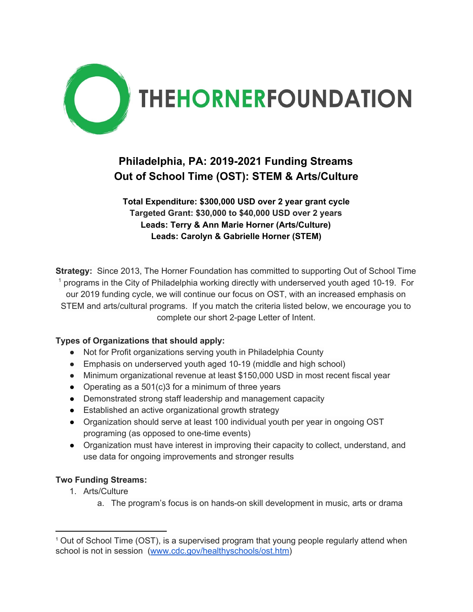

## **Philadelphia, PA: 2019-2021 Funding Streams Out of School Time (OST): STEM & Arts/Culture**

**Total Expenditure: \$300,000 USD over 2 year grant cycle Targeted Grant: \$30,000 to \$40,000 USD over 2 years Leads: Terry & Ann Marie Horner (Arts/Culture) Leads: Carolyn & Gabrielle Horner (STEM)**

**Strategy:** Since 2013, The Horner Foundation has committed to supporting Out of School Time  $1$  programs in the City of Philadelphia working directly with underserved youth aged 10-19. For our 2019 funding cycle, we will continue our focus on OST, with an increased emphasis on STEM and arts/cultural programs. If you match the criteria listed below, we encourage you to complete our short 2-page Letter of Intent.

## **Types of Organizations that should apply:**

- Not for Profit organizations serving youth in Philadelphia County
- Emphasis on underserved youth aged 10-19 (middle and high school)
- Minimum organizational revenue at least \$150,000 USD in most recent fiscal year
- Operating as a 501(c)3 for a minimum of three years
- Demonstrated strong staff leadership and management capacity
- Established an active organizational growth strategy
- Organization should serve at least 100 individual youth per year in ongoing OST programing (as opposed to one-time events)
- Organization must have interest in improving their capacity to collect, understand, and use data for ongoing improvements and stronger results

## **Two Funding Streams:**

- 1. Arts/Culture
	- a. The program's focus is on hands-on skill development in music, arts or drama

<sup>1</sup> Out of School Time (OST), is a supervised program that young people regularly attend when school is not in session ([www.cdc.gov/healthyschools/ost.htm](http://www.cdc.gov/healthyschools/ost.htm))